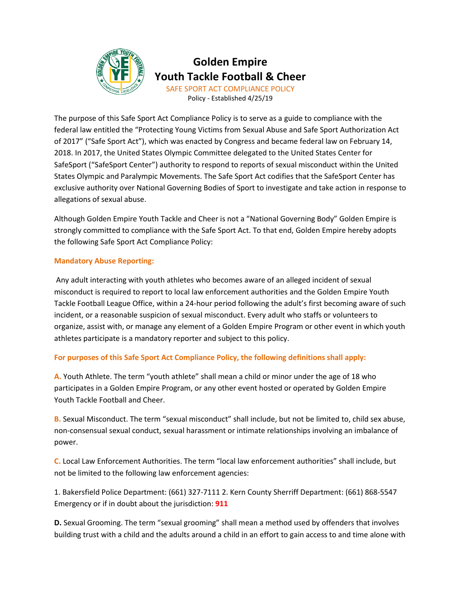

# **Golden Empire Youth Tackle Football & Cheer** SAFE SPORT ACT COMPLIANCE POLICY

Policy - Established 4/25/19

The purpose of this Safe Sport Act Compliance Policy is to serve as a guide to compliance with the federal law entitled the "Protecting Young Victims from Sexual Abuse and Safe Sport Authorization Act of 2017" ("Safe Sport Act"), which was enacted by Congress and became federal law on February 14, 2018. In 2017, the United States Olympic Committee delegated to the United States Center for SafeSport ("SafeSport Center") authority to respond to reports of sexual misconduct within the United States Olympic and Paralympic Movements. The Safe Sport Act codifies that the SafeSport Center has exclusive authority over National Governing Bodies of Sport to investigate and take action in response to allegations of sexual abuse.

Although Golden Empire Youth Tackle and Cheer is not a "National Governing Body" Golden Empire is strongly committed to compliance with the Safe Sport Act. To that end, Golden Empire hereby adopts the following Safe Sport Act Compliance Policy:

# **Mandatory Abuse Reporting:**

Any adult interacting with youth athletes who becomes aware of an alleged incident of sexual misconduct is required to report to local law enforcement authorities and the Golden Empire Youth Tackle Football League Office, within a 24-hour period following the adult's first becoming aware of such incident, or a reasonable suspicion of sexual misconduct. Every adult who staffs or volunteers to organize, assist with, or manage any element of a Golden Empire Program or other event in which youth athletes participate is a mandatory reporter and subject to this policy.

# **For purposes of this Safe Sport Act Compliance Policy, the following definitions shall apply:**

**A.** Youth Athlete. The term "youth athlete" shall mean a child or minor under the age of 18 who participates in a Golden Empire Program, or any other event hosted or operated by Golden Empire Youth Tackle Football and Cheer.

**B.** Sexual Misconduct. The term "sexual misconduct" shall include, but not be limited to, child sex abuse, non-consensual sexual conduct, sexual harassment or intimate relationships involving an imbalance of power.

**C.** Local Law Enforcement Authorities. The term "local law enforcement authorities" shall include, but not be limited to the following law enforcement agencies:

1. Bakersfield Police Department: (661) 327-7111 2. Kern County Sherriff Department: (661) 868-5547 Emergency or if in doubt about the jurisdiction: **911** 

**D.** Sexual Grooming. The term "sexual grooming" shall mean a method used by offenders that involves building trust with a child and the adults around a child in an effort to gain access to and time alone with